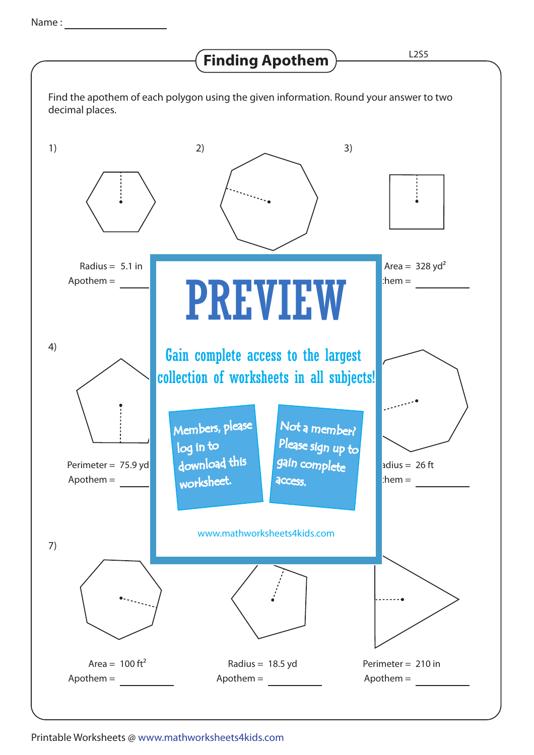